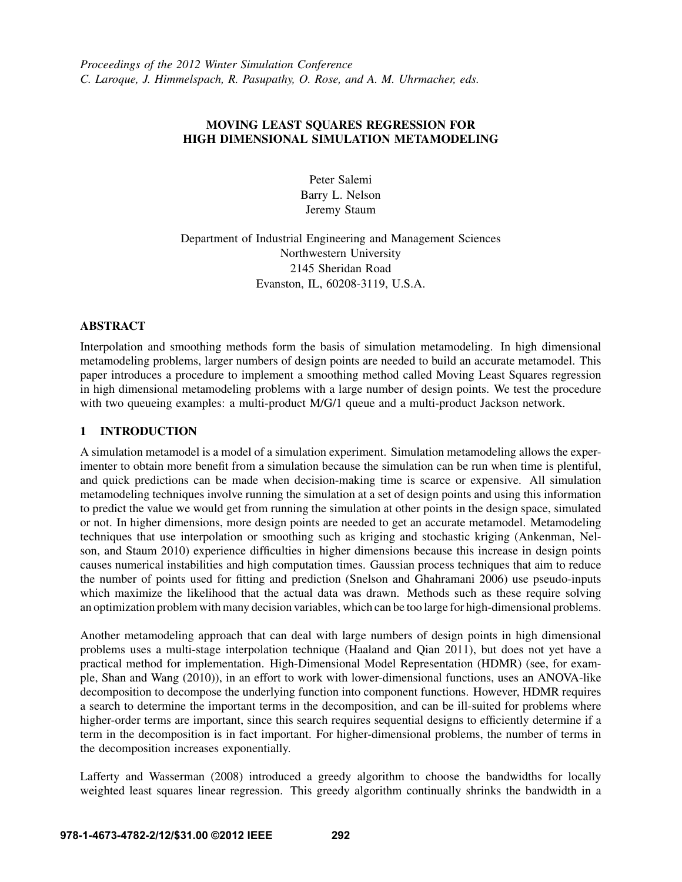*Proceedings of the 2012 Winter Simulation Conference C. Laroque, J. Himmelspach, R. Pasupathy, O. Rose, and A. M. Uhrmacher, eds.*

# MOVING LEAST SOUARES REGRESSION FOR HIGH DIMENSIONAL SIMULATION METAMODELING

Peter Salemi Barry L. Nelson Jeremy Staum

Department of Industrial Engineering and Management Sciences Northwestern University 2145 Sheridan Road Evanston, IL, 60208-3119, U.S.A.

### ABSTRACT

Interpolation and smoothing methods form the basis of simulation metamodeling. In high dimensional metamodeling problems, larger numbers of design points are needed to build an accurate metamodel. This paper introduces a procedure to implement a smoothing method called Moving Least Squares regression in high dimensional metamodeling problems with a large number of design points. We test the procedure with two queueing examples: a multi-product M/G/1 queue and a multi-product Jackson network.

# 1 INTRODUCTION

A simulation metamodel is a model of a simulation experiment. Simulation metamodeling allows the experimenter to obtain more benefit from a simulation because the simulation can be run when time is plentiful, and quick predictions can be made when decision-making time is scarce or expensive. All simulation metamodeling techniques involve running the simulation at a set of design points and using this information to predict the value we would get from running the simulation at other points in the design space, simulated or not. In higher dimensions, more design points are needed to get an accurate metamodel. Metamodeling techniques that use interpolation or smoothing such as kriging and stochastic kriging (Ankenman, Nelson, and Staum 2010) experience difficulties in higher dimensions because this increase in design points causes numerical instabilities and high computation times. Gaussian process techniques that aim to reduce the number of points used for fitting and prediction (Snelson and Ghahramani 2006) use pseudo-inputs which maximize the likelihood that the actual data was drawn. Methods such as these require solving an optimization problem with many decision variables, which can be too large for high-dimensional problems.

Another metamodeling approach that can deal with large numbers of design points in high dimensional problems uses a multi-stage interpolation technique (Haaland and Qian 2011), but does not yet have a practical method for implementation. High-Dimensional Model Representation (HDMR) (see, for example, Shan and Wang (2010)), in an effort to work with lower-dimensional functions, uses an ANOVA-like decomposition to decompose the underlying function into component functions. However, HDMR requires a search to determine the important terms in the decomposition, and can be ill-suited for problems where higher-order terms are important, since this search requires sequential designs to efficiently determine if a term in the decomposition is in fact important. For higher-dimensional problems, the number of terms in the decomposition increases exponentially.

Lafferty and Wasserman (2008) introduced a greedy algorithm to choose the bandwidths for locally weighted least squares linear regression. This greedy algorithm continually shrinks the bandwidth in a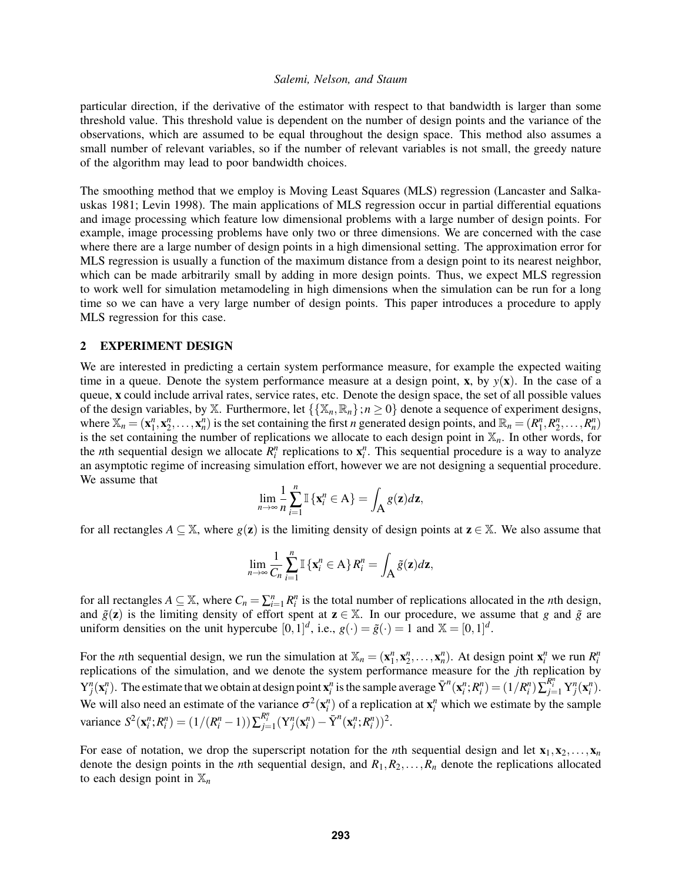particular direction, if the derivative of the estimator with respect to that bandwidth is larger than some threshold value. This threshold value is dependent on the number of design points and the variance of the observations, which are assumed to be equal throughout the design space. This method also assumes a small number of relevant variables, so if the number of relevant variables is not small, the greedy nature of the algorithm may lead to poor bandwidth choices.

The smoothing method that we employ is Moving Least Squares (MLS) regression (Lancaster and Salkauskas 1981; Levin 1998). The main applications of MLS regression occur in partial differential equations and image processing which feature low dimensional problems with a large number of design points. For example, image processing problems have only two or three dimensions. We are concerned with the case where there are a large number of design points in a high dimensional setting. The approximation error for MLS regression is usually a function of the maximum distance from a design point to its nearest neighbor, which can be made arbitrarily small by adding in more design points. Thus, we expect MLS regression to work well for simulation metamodeling in high dimensions when the simulation can be run for a long time so we can have a very large number of design points. This paper introduces a procedure to apply MLS regression for this case.

# 2 EXPERIMENT DESIGN

We are interested in predicting a certain system performance measure, for example the expected waiting time in a queue. Denote the system performance measure at a design point,  $\bf{x}$ , by  $\bf{y}(\bf{x})$ . In the case of a queue, x could include arrival rates, service rates, etc. Denote the design space, the set of all possible values of the design variables, by X. Furthermore, let  $\{\{X_n, \mathbb{R}_n\}; n \geq 0\}$  denote a sequence of experiment designs, where  $\mathbb{X}_n = (\mathbf{x}_1^n, \mathbf{x}_2^n, \dots, \mathbf{x}_n^n)$  is the set containing the first *n* generated design points, and  $\mathbb{R}_n = (R_1^n, R_2^n, \dots, R_n^n)$ is the set containing the number of replications we allocate to each design point in  $\mathbb{X}_n$ . In other words, for the *n*th sequential design we allocate  $R_i^n$  replications to  $\mathbf{x}_i^n$ . This sequential procedure is a way to analyze an asymptotic regime of increasing simulation effort, however we are not designing a sequential procedure. We assume that

$$
\lim_{n\to\infty}\frac{1}{n}\sum_{i=1}^n\mathbb{I}\left\{\mathbf{x}_i^n\in A\right\}=\int_A g(\mathbf{z})d\mathbf{z},
$$

for all rectangles  $A \subseteq \mathbb{X}$ , where  $g(z)$  is the limiting density of design points at  $z \in \mathbb{X}$ . We also assume that

$$
\lim_{n\to\infty}\frac{1}{C_n}\sum_{i=1}^n\mathbb{I}\left\{\mathbf{x}_i^n\in A\right\}R_i^n=\int_A\tilde{g}(\mathbf{z})d\mathbf{z},
$$

for all rectangles  $A \subseteq \mathbb{X}$ , where  $C_n = \sum_{i=1}^n R_i^n$  is the total number of replications allocated in the *n*th design, and  $\tilde{g}(z)$  is the limiting density of effort spent at  $z \in \mathbb{X}$ . In our procedure, we assume that *g* and  $\tilde{g}$  are uniform densities on the unit hypercube  $[0,1]^d$ , i.e.,  $g(\cdot) = \tilde{g}(\cdot) = 1$  and  $\mathbb{X} = [0,1]^d$ .

For the *n*th sequential design, we run the simulation at  $\mathbb{X}_n = (\mathbf{x}_1^n, \mathbf{x}_2^n, \dots, \mathbf{x}_n^n)$ . At design point  $\mathbf{x}_i^n$  we run  $R_i^n$ replications of the simulation, and we denote the system performance measure for the *j*th replication by  $Y_j^n(\mathbf{x}_i^n)$ . The estimate that we obtain at design point  $\mathbf{x}_i^n$  is the sample average  $\bar{Y}^n(\mathbf{x}_i^n; R_i^n) = (1/R_i^n) \sum_{j=1}^{R_i^n} Y_j^n(\mathbf{x}_i^n)$ . We will also need an estimate of the variance  $\sigma^2(\mathbf{x}_i^n)$  of a replication at  $\mathbf{x}_i^n$  which we estimate by the sample variance  $S^2(\mathbf{x}_i^n; R_i^n) = (1/(R_i^n - 1)) \sum_{j=1}^{R_i^n} (Y_j^n(\mathbf{x}_i^n) - \overline{Y}^n(\mathbf{x}_i^n; R_i^n))^2$ .

For ease of notation, we drop the superscript notation for the *n*th sequential design and let  $x_1, x_2, \ldots, x_n$ denote the design points in the *n*th sequential design, and  $R_1, R_2, \ldots, R_n$  denote the replications allocated to each design point in  $\mathbb{X}_n$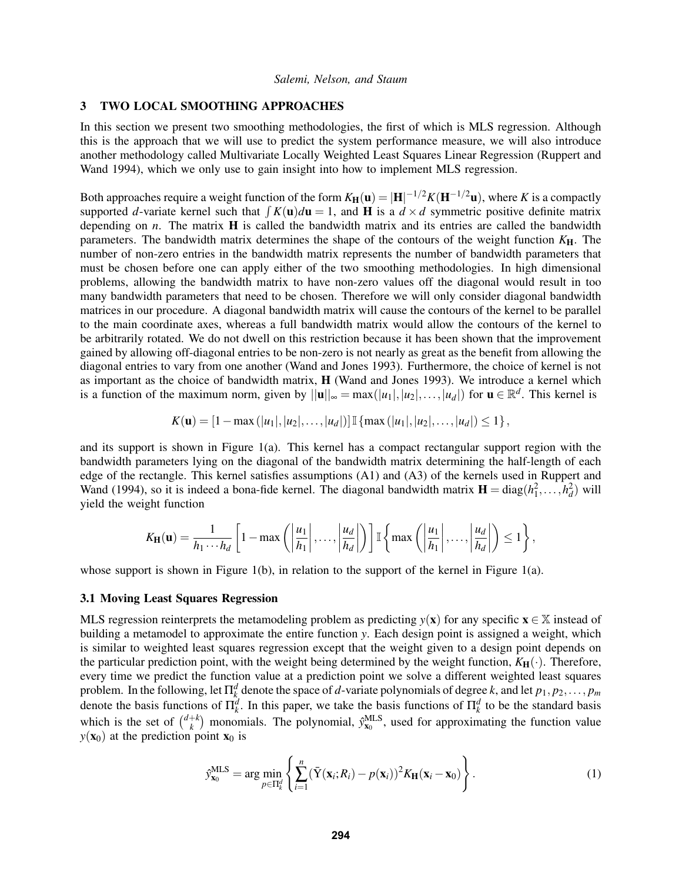#### 3 TWO LOCAL SMOOTHING APPROACHES

In this section we present two smoothing methodologies, the first of which is MLS regression. Although this is the approach that we will use to predict the system performance measure, we will also introduce another methodology called Multivariate Locally Weighted Least Squares Linear Regression (Ruppert and Wand 1994), which we only use to gain insight into how to implement MLS regression.

Both approaches require a weight function of the form  $K_{\bf H}({\bf u})=|{\bf H}|^{-1/2}K({\bf H}^{-1/2}{\bf u}),$  where  $K$  is a compactly supported *d*-variate kernel such that  $\int K(\mathbf{u})d\mathbf{u} = 1$ , and **H** is a  $d \times d$  symmetric positive definite matrix depending on *n*. The matrix H is called the bandwidth matrix and its entries are called the bandwidth parameters. The bandwidth matrix determines the shape of the contours of the weight function  $K_{\rm H}$ . The number of non-zero entries in the bandwidth matrix represents the number of bandwidth parameters that must be chosen before one can apply either of the two smoothing methodologies. In high dimensional problems, allowing the bandwidth matrix to have non-zero values off the diagonal would result in too many bandwidth parameters that need to be chosen. Therefore we will only consider diagonal bandwidth matrices in our procedure. A diagonal bandwidth matrix will cause the contours of the kernel to be parallel to the main coordinate axes, whereas a full bandwidth matrix would allow the contours of the kernel to be arbitrarily rotated. We do not dwell on this restriction because it has been shown that the improvement gained by allowing off-diagonal entries to be non-zero is not nearly as great as the benefit from allowing the diagonal entries to vary from one another (Wand and Jones 1993). Furthermore, the choice of kernel is not as important as the choice of bandwidth matrix, H (Wand and Jones 1993). We introduce a kernel which is a function of the maximum norm, given by  $||\mathbf{u}||_{\infty} = \max(|u_1|, |u_2|, \dots, |u_d|)$  for  $\mathbf{u} \in \mathbb{R}^d$ . This kernel is

$$
K(\mathbf{u}) = [1 - \max(|u_1|, |u_2|, \dots, |u_d|)] \mathbb{I} \{ \max(|u_1|, |u_2|, \dots, |u_d|) \le 1 \},
$$

and its support is shown in Figure 1(a). This kernel has a compact rectangular support region with the bandwidth parameters lying on the diagonal of the bandwidth matrix determining the half-length of each edge of the rectangle. This kernel satisfies assumptions (A1) and (A3) of the kernels used in Ruppert and Wand (1994), so it is indeed a bona-fide kernel. The diagonal bandwidth matrix  $\mathbf{H} = \text{diag}(h_1^2, \dots, h_d^2)$  will yield the weight function

$$
K_{\mathbf{H}}(\mathbf{u}) = \frac{1}{h_1 \cdots h_d} \left[ 1 - \max \left( \left| \frac{u_1}{h_1} \right|, \ldots, \left| \frac{u_d}{h_d} \right| \right) \right] \mathbb{I} \left\{ \max \left( \left| \frac{u_1}{h_1} \right|, \ldots, \left| \frac{u_d}{h_d} \right| \right) \leq 1 \right\},\right.
$$

whose support is shown in Figure 1(b), in relation to the support of the kernel in Figure 1(a).

#### 3.1 Moving Least Squares Regression

MLS regression reinterprets the metamodeling problem as predicting  $y(x)$  for any specific  $x \in \mathbb{X}$  instead of building a metamodel to approximate the entire function *y*. Each design point is assigned a weight, which is similar to weighted least squares regression except that the weight given to a design point depends on the particular prediction point, with the weight being determined by the weight function,  $K_H(\cdot)$ . Therefore, every time we predict the function value at a prediction point we solve a different weighted least squares problem. In the following, let  $\Pi_k^d$  denote the space of *d*-variate polynomials of degree *k*, and let  $p_1, p_2, \ldots, p_m$ *h* denote the basis functions of  $\Pi_k^d$ . In this paper, we take the basis functions of  $\Pi_k^d$  to be the standard basis denote the basis functions of  $\Pi_k^d$ . which is the set of  $\binom{d+k}{k}$  $k \choose k$  monomials. The polynomial,  $\hat{y}_{\mathbf{x}_0}^{\text{MLS}}$ , used for approximating the function value  $y(\mathbf{x}_0)$  at the prediction point  $\mathbf{x}_0$  is

$$
\hat{y}_{\mathbf{x}_0}^{\text{MLS}} = \arg\min_{p \in \Pi_k^d} \left\{ \sum_{i=1}^n (\bar{Y}(\mathbf{x}_i; R_i) - p(\mathbf{x}_i))^2 K_{\mathbf{H}}(\mathbf{x}_i - \mathbf{x}_0) \right\}.
$$
 (1)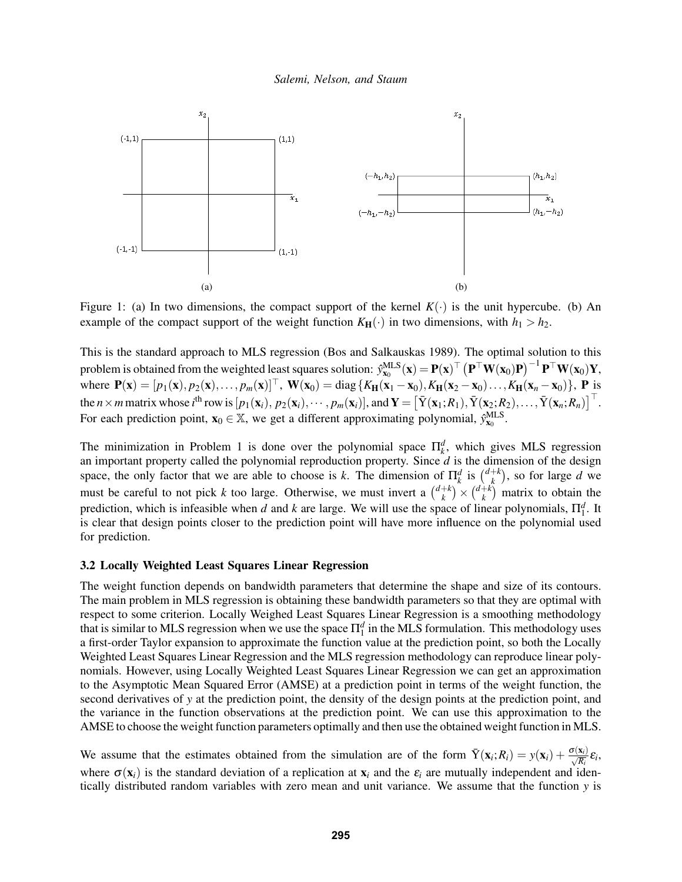

Figure 1: (a) In two dimensions, the compact support of the kernel  $K(\cdot)$  is the unit hypercube. (b) An example of the compact support of the weight function  $K_H(\cdot)$  in two dimensions, with  $h_1 > h_2$ .

This is the standard approach to MLS regression (Bos and Salkauskas 1989). The optimal solution to this problem is obtained from the weighted least squares solution:  $\hat{y}^{\text{MLS}}_{\mathbf{x}_0}(\mathbf{x}) = \mathbf{P}(\mathbf{x})^\top \left( \mathbf{P}^\top \mathbf{W}(\mathbf{x}_0) \mathbf{P} \right)^{-1} \mathbf{P}^\top \mathbf{W}(\mathbf{x}_0) \mathbf{Y},$ where  $P(x) = [p_1(x), p_2(x), \dots, p_m(x)]^\top$ ,  $W(x_0) = \text{diag} \{K_H(x_1 - x_0), K_H(x_2 - x_0), \dots, K_H(x_n - x_0)\}$ , P is the *n* × *m* matrix whose *i*<sup>th</sup> row is  $[p_1(\mathbf{x}_i), p_2(\mathbf{x}_i), \cdots, p_m(\mathbf{x}_i)]$ , and  $\mathbf{Y} = \left[ \bar{Y}(\mathbf{x}_1; R_1), \bar{Y}(\mathbf{x}_2; R_2), \ldots, \bar{Y}(\mathbf{x}_n; R_n) \right]^\top$ . For each prediction point,  $\mathbf{x}_0 \in \mathbb{X}$ , we get a different approximating polynomial,  $\hat{y}_{\mathbf{x}_0}^{\text{MLS}}$ .

The minimization in Problem 1 is done over the polynomial space  $\prod_k^d$ , which gives MLS regression an important property called the polynomial reproduction property. Since  $d$  is the dimension of the design space, the only factor that we are able to choose is *k*. The dimension of  $\prod_k^d$  is  $\binom{d+k}{k}$  $\binom{+k}{k}$ , so for large *d* we must be careful to not pick k too large. Otherwise, we must invert a  $\binom{d+k}{k}$  ${k \choose k} \times {d+k \choose k}$  $\binom{+k}{k}$  matrix to obtain the prediction, which is infeasible when *d* and *k* are large. We will use the space of linear polynomials,  $\Pi_1^d$ . It is clear that design points closer to the prediction point will have more influence on the polynomial used for prediction.

#### 3.2 Locally Weighted Least Squares Linear Regression

The weight function depends on bandwidth parameters that determine the shape and size of its contours. The main problem in MLS regression is obtaining these bandwidth parameters so that they are optimal with respect to some criterion. Locally Weighed Least Squares Linear Regression is a smoothing methodology that is similar to MLS regression when we use the space  $\Pi_1^d$  in the MLS formulation. This methodology uses a first-order Taylor expansion to approximate the function value at the prediction point, so both the Locally Weighted Least Squares Linear Regression and the MLS regression methodology can reproduce linear polynomials. However, using Locally Weighted Least Squares Linear Regression we can get an approximation to the Asymptotic Mean Squared Error (AMSE) at a prediction point in terms of the weight function, the second derivatives of *y* at the prediction point, the density of the design points at the prediction point, and the variance in the function observations at the prediction point. We can use this approximation to the AMSE to choose the weight function parameters optimally and then use the obtained weight function in MLS.

We assume that the estimates obtained from the simulation are of the form  $\bar{Y}(\mathbf{x}_i; R_i) = y(\mathbf{x}_i) + \frac{\sigma(\mathbf{x}_i)}{\sqrt{R_i}} \varepsilon_i$ , where  $\sigma(\mathbf{x}_i)$  is the standard deviation of a replication at  $\mathbf{x}_i$  and the  $\varepsilon_i$  are mutually independent and identically distributed random variables with zero mean and unit variance. We assume that the function *y* is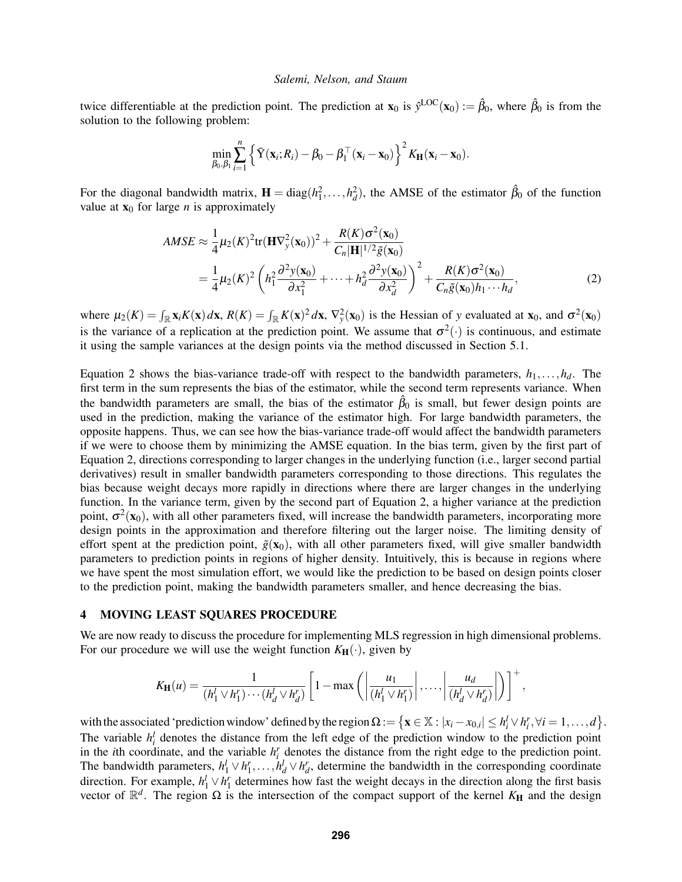twice differentiable at the prediction point. The prediction at  $\mathbf{x}_0$  is  $\hat{y}^{\text{LOC}}(\mathbf{x}_0) := \hat{\beta}_0$ , where  $\hat{\beta}_0$  is from the solution to the following problem:

$$
\min_{\beta_0,\beta_1}\sum_{i=1}^n\left\{\bar{\mathbf{Y}}(\mathbf{x}_i;R_i)-\beta_0-\beta_1^\top(\mathbf{x}_i-\mathbf{x}_0)\right\}^2K_{\mathbf{H}}(\mathbf{x}_i-\mathbf{x}_0).
$$

For the diagonal bandwidth matrix,  $\mathbf{H} = \text{diag}(h_1^2, \dots, h_d^2)$ , the AMSE of the estimator  $\hat{\beta}_0$  of the function value at  $x_0$  for large *n* is approximately

$$
AMSE \approx \frac{1}{4}\mu_2(K)^2 \text{tr}(\mathbf{H}\nabla_y^2(\mathbf{x}_0))^2 + \frac{R(K)\sigma^2(\mathbf{x}_0)}{C_n|\mathbf{H}|^{1/2}\tilde{g}(\mathbf{x}_0)}
$$
  
= 
$$
\frac{1}{4}\mu_2(K)^2 \left(h_1^2 \frac{\partial^2 y(\mathbf{x}_0)}{\partial x_1^2} + \dots + h_d^2 \frac{\partial^2 y(\mathbf{x}_0)}{\partial x_d^2}\right)^2 + \frac{R(K)\sigma^2(\mathbf{x}_0)}{C_n\tilde{g}(\mathbf{x}_0)h_1 \cdots h_d},
$$
 (2)

where  $\mu_2(K) = \int_{\mathbb{R}} x_i K(\mathbf{x}) d\mathbf{x}$ ,  $R(K) = \int_{\mathbb{R}} K(\mathbf{x})^2 d\mathbf{x}$ ,  $\nabla_y^2(\mathbf{x}_0)$  is the Hessian of *y* evaluated at  $\mathbf{x}_0$ , and  $\sigma^2(\mathbf{x}_0)$ is the variance of a replication at the prediction point. We assume that  $\sigma^2(\cdot)$  is continuous, and estimate it using the sample variances at the design points via the method discussed in Section 5.1.

Equation 2 shows the bias-variance trade-off with respect to the bandwidth parameters,  $h_1, \ldots, h_d$ . The first term in the sum represents the bias of the estimator, while the second term represents variance. When the bandwidth parameters are small, the bias of the estimator  $\hat{\beta}_0$  is small, but fewer design points are used in the prediction, making the variance of the estimator high. For large bandwidth parameters, the opposite happens. Thus, we can see how the bias-variance trade-off would affect the bandwidth parameters if we were to choose them by minimizing the AMSE equation. In the bias term, given by the first part of Equation 2, directions corresponding to larger changes in the underlying function (i.e., larger second partial derivatives) result in smaller bandwidth parameters corresponding to those directions. This regulates the bias because weight decays more rapidly in directions where there are larger changes in the underlying function. In the variance term, given by the second part of Equation 2, a higher variance at the prediction point,  $\sigma^2(\mathbf{x}_0)$ , with all other parameters fixed, will increase the bandwidth parameters, incorporating more design points in the approximation and therefore filtering out the larger noise. The limiting density of effort spent at the prediction point,  $\tilde{g}(x_0)$ , with all other parameters fixed, will give smaller bandwidth parameters to prediction points in regions of higher density. Intuitively, this is because in regions where we have spent the most simulation effort, we would like the prediction to be based on design points closer to the prediction point, making the bandwidth parameters smaller, and hence decreasing the bias.

# 4 MOVING LEAST SQUARES PROCEDURE

We are now ready to discuss the procedure for implementing MLS regression in high dimensional problems. For our procedure we will use the weight function  $K_H(\cdot)$ , given by

$$
K_{\mathbf{H}}(u) = \frac{1}{(h_1^l \vee h_1^r) \cdots (h_d^l \vee h_d^r)} \left[1 - \max\left(\left|\frac{u_1}{(h_1^l \vee h_1^r)}\right|, \ldots, \left|\frac{u_d}{(h_d^l \vee h_d^r)}\right|\right)\right]^+,
$$

with the associated 'prediction window' defined by the region  $\Omega := \left\{ \mathbf{x} \in \mathbb{X} : |x_i - x_{0,i}| \leq h_i^l \vee h_i^r, \forall i = 1, \dots, d \right\}.$ The variable  $h_i^l$  denotes the distance from the left edge of the prediction window to the prediction point in the *i*th coordinate, and the variable  $h_i^r$  denotes the distance from the right edge to the prediction point. The bandwidth parameters,  $h_1^l \vee h_1^r, \ldots, h_d^l \vee h_d^r$ , determine the bandwidth in the corresponding coordinate direction. For example,  $h_1^l \vee h_1^r$  determines how fast the weight decays in the direction along the first basis vector of  $\mathbb{R}^d$ . The region  $\Omega$  is the intersection of the compact support of the kernel  $K_H$  and the design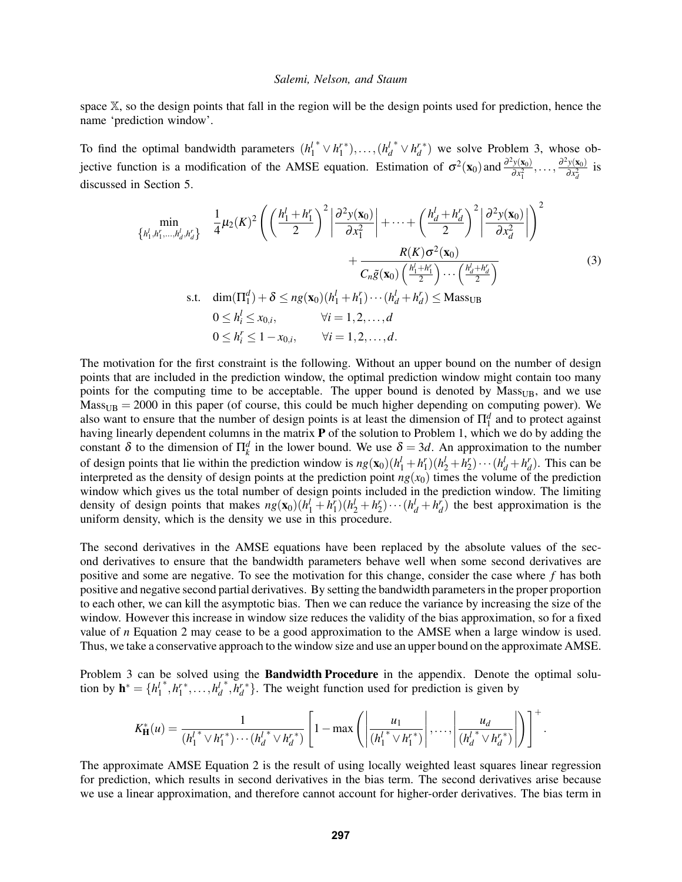space X, so the design points that fall in the region will be the design points used for prediction, hence the name 'prediction window'.

To find the optimal bandwidth parameters  $(h_1^l)$ <sup>\*</sup>  $\vee h_1^{r*}), \ldots, (h_d^l)$  $\sqrt[n]{h_d^{r}}$  we solve Problem 3, whose objective function is a modification of the AMSE equation. Estimation of  $\sigma^2(\mathbf{x}_0)$  and  $\frac{\partial^2 y(\mathbf{x}_0)}{\partial x^2}$  $\frac{\partial^2 y(\mathbf{x}_0)}{\partial x_1^2}, \ldots, \frac{\partial^2 y(\mathbf{x}_0)}{\partial x_d^2}$  $\frac{y(\mathbf{x}_0)}{\partial x_d^2}$  is discussed in Section 5.

$$
\min_{\{h_1^l, h_1^r, \dots, h_d^l, h_d^r\}} \frac{1}{4} \mu_2(K)^2 \left( \left( \frac{h_1^l + h_1^r}{2} \right)^2 \left| \frac{\partial^2 y(\mathbf{x}_0)}{\partial x_1^2} \right| + \dots + \left( \frac{h_d^l + h_d^r}{2} \right)^2 \left| \frac{\partial^2 y(\mathbf{x}_0)}{\partial x_d^2} \right| \right)^2 + \frac{R(K) \sigma^2(\mathbf{x}_0)}{C_n \tilde{g}(\mathbf{x}_0) \left( \frac{h_1^l + h_1^r}{2} \right) \dots \left( \frac{h_d^l + h_d^r}{2} \right)} \ns.t. \quad \dim(\Pi_1^d) + \delta \le ng(\mathbf{x}_0)(h_1^l + h_1^r) \dots (h_d^l + h_d^r) \le Mass_{UB} 0 \le h_i^l \le x_{0,i}, \qquad \forall i = 1, 2, \dots, d
$$
\n(3)

$$
0 \le h_i^r \le 1 - x_{0,i}, \qquad \forall i = 1, 2, ..., d.
$$

The motivation for the first constraint is the following. Without an upper bound on the number of design points that are included in the prediction window, the optimal prediction window might contain too many points for the computing time to be acceptable. The upper bound is denoted by Mass<sub>UB</sub>, and we use  $Mass<sub>UB</sub> = 2000$  in this paper (of course, this could be much higher depending on computing power). We also want to ensure that the number of design points is at least the dimension of  $\Pi_1^d$  and to protect against having linearly dependent columns in the matrix P of the solution to Problem 1, which we do by adding the constant  $\delta$  to the dimension of  $\prod_k^d$  in the lower bound. We use  $\delta = 3d$ . An approximation to the number of design points that lie within the prediction window is  $ng(\mathbf{x}_0)(h_1^1 + h_1^r)(h_2^1 + h_2^r) \cdots (h_d^1 + h_d^r)$ . This can be interpreted as the density of design points at the prediction point  $ng(x_0)$  times the volume of the prediction window which gives us the total number of design points included in the prediction window. The limiting density of design points that makes  $ng(\mathbf{x}_0)(h_1^l + h_1^r)(h_2^l + h_2^r) \cdots (h_d^l + h_d^r)$  the best approximation is the uniform density, which is the density we use in this procedure.

The second derivatives in the AMSE equations have been replaced by the absolute values of the second derivatives to ensure that the bandwidth parameters behave well when some second derivatives are positive and some are negative. To see the motivation for this change, consider the case where *f* has both positive and negative second partial derivatives. By setting the bandwidth parameters in the proper proportion to each other, we can kill the asymptotic bias. Then we can reduce the variance by increasing the size of the window. However this increase in window size reduces the validity of the bias approximation, so for a fixed value of *n* Equation 2 may cease to be a good approximation to the AMSE when a large window is used. Thus, we take a conservative approach to the window size and use an upper bound on the approximate AMSE.

Problem 3 can be solved using the Bandwidth Procedure in the appendix. Denote the optimal solution by  $\mathbf{h}^* = \{h_1^l\}$ \*, $h_1^{r*}, \ldots, h_d^{l}$  $\overrightarrow{h}_d^*$ . The weight function used for prediction is given by

$$
K_{\mathbf{H}}^{*}(u) = \frac{1}{(h_1^{l*} \vee h_1^{r*}) \cdots (h_d^{l*} \vee h_d^{r*})} \left[1 - \max\left(\left|\frac{u_1}{(h_1^{l*} \vee h_1^{r*})}\right|, \ldots, \left|\frac{u_d}{(h_d^{l*} \vee h_d^{r*})}\right|\right)\right]^{+}
$$

.

The approximate AMSE Equation 2 is the result of using locally weighted least squares linear regression for prediction, which results in second derivatives in the bias term. The second derivatives arise because we use a linear approximation, and therefore cannot account for higher-order derivatives. The bias term in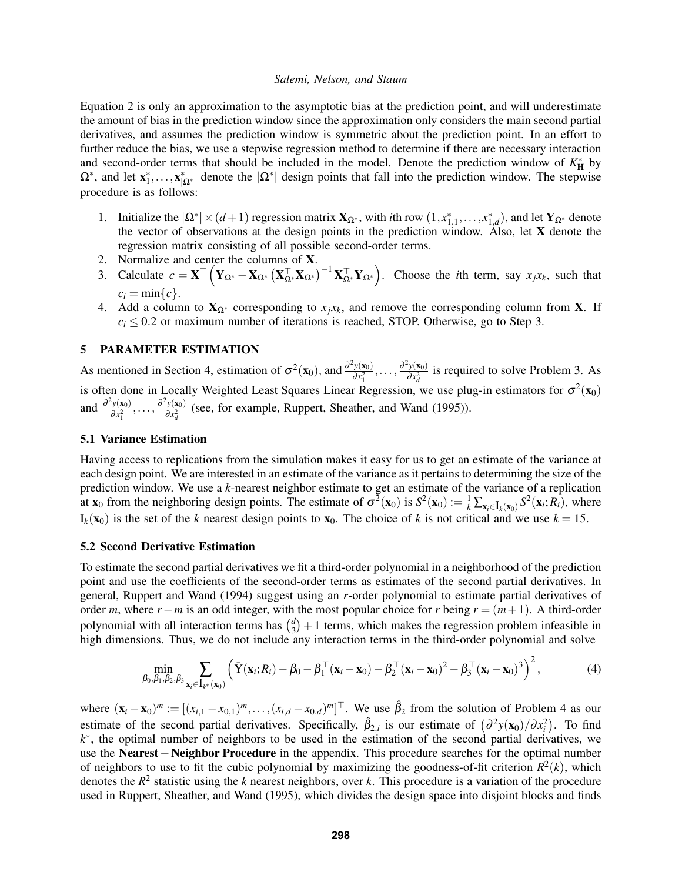Equation 2 is only an approximation to the asymptotic bias at the prediction point, and will underestimate the amount of bias in the prediction window since the approximation only considers the main second partial derivatives, and assumes the prediction window is symmetric about the prediction point. In an effort to further reduce the bias, we use a stepwise regression method to determine if there are necessary interaction and second-order terms that should be included in the model. Denote the prediction window of  $K_{\text{H}}^{*}$  by  $\Omega^*$ , and let  $\mathbf{x}_1^*,\ldots,\mathbf{x}_{|\Omega^*|}^*$  denote the  $|\Omega^*|$  design points that fall into the prediction window. The stepwise procedure is as follows:

- 1. Initialize the  $|\Omega^*| \times (d+1)$  regression matrix  $\mathbf{X}_{\Omega^*}$ , with *i*th row  $(1, x_{1,1}^*, \ldots, x_{1,d}^*)$ , and let  $\mathbf{Y}_{\Omega^*}$  denote the vector of observations at the design points in the prediction window. Also, let  $X$  denote the regression matrix consisting of all possible second-order terms.
- 2. Normalize and center the columns of X.
- 3. Calculate  $c = \mathbf{X}^{\top} \left( \mathbf{Y}_{\Omega^*} \mathbf{X}_{\Omega^*} \left( \mathbf{X}_{\Omega^*}^{\top} \mathbf{X}_{\Omega^*} \right)^{-1} \mathbf{X}_{\Omega^*}^{\top} \mathbf{Y}_{\Omega^*} \right)$ . Choose the *i*th term, say  $x_j x_k$ , such that  $c_i = \min\{c\}.$
- 4. Add a column to  $X_{\Omega^*}$  corresponding to  $x_jx_k$ , and remove the corresponding column from X. If  $c_i \leq 0.2$  or maximum number of iterations is reached, STOP. Otherwise, go to Step 3.

# 5 PARAMETER ESTIMATION

As mentioned in Section 4, estimation of  $\sigma^2(\mathbf{x}_0)$ , and  $\frac{\partial^2 y(\mathbf{x}_0)}{\partial x^2}$  $\frac{\partial^2 y(\mathbf{x}_0)}{\partial x_1^2}, \ldots, \frac{\partial^2 y(\mathbf{x}_0)}{\partial x_d^2}$  $\frac{y(\mathbf{x}_0)}{\partial x_d^2}$  is required to solve Problem 3. As is often done in Locally Weighted Least Squares Linear Regression, we use plug-in estimators for  $\sigma^2(\mathbf{x}_0)$ and  $\frac{\partial^2 y(\mathbf{x}_0)}{\partial x^2}$  $\frac{\partial^2 y(\mathbf{x}_0)}{\partial x_1^2}, \ldots, \frac{\partial^2 y(\mathbf{x}_0)}{\partial x_d^2}$  $\frac{y(x_0)}{\partial x_d^2}$  (see, for example, Ruppert, Sheather, and Wand (1995)).

#### 5.1 Variance Estimation

Having access to replications from the simulation makes it easy for us to get an estimate of the variance at each design point. We are interested in an estimate of the variance as it pertains to determining the size of the prediction window. We use a *k*-nearest neighbor estimate to get an estimate of the variance of a replication at  $\mathbf{x}_0$  from the neighboring design points. The estimate of  $\sigma^2(\mathbf{x}_0)$  is  $S^2(\mathbf{x}_0) := \frac{1}{k} \sum_{\mathbf{x}_i \in \mathbf{I}_k(\mathbf{x}_0)} S^2(\mathbf{x}_i; R_i)$ , where  $I_k(\mathbf{x}_0)$  is the set of the *k* nearest design points to  $\mathbf{x}_0$ . The choice of *k* is not critical and we use  $k = 15$ .

#### 5.2 Second Derivative Estimation

To estimate the second partial derivatives we fit a third-order polynomial in a neighborhood of the prediction point and use the coefficients of the second-order terms as estimates of the second partial derivatives. In general, Ruppert and Wand (1994) suggest using an *r*-order polynomial to estimate partial derivatives of order *m*, where  $r - m$  is an odd integer, with the most popular choice for *r* being  $r = (m+1)$ . A third-order polynomial with all interaction terms has  $\binom{d}{3}$  $\binom{d}{3}+1$  terms, which makes the regression problem infeasible in high dimensions. Thus, we do not include any interaction terms in the third-order polynomial and solve

$$
\min_{\beta_0, \beta_1, \beta_2, \beta_3} \sum_{\mathbf{x}_i \in \mathbf{I}_{k^*}(\mathbf{x}_0)} \left( \bar{\mathbf{Y}}(\mathbf{x}_i; R_i) - \beta_0 - \beta_1^\top (\mathbf{x}_i - \mathbf{x}_0) - \beta_2^\top (\mathbf{x}_i - \mathbf{x}_0)^2 - \beta_3^\top (\mathbf{x}_i - \mathbf{x}_0)^3 \right)^2, \tag{4}
$$

where  $(\mathbf{x}_i - \mathbf{x}_0)^m := [(x_{i,1} - x_{0,1})^m, \dots, (x_{i,d} - x_{0,d})^m]^\top$ . We use  $\hat{\beta}_2$  from the solution of Problem 4 as our estimate of the second partial derivatives. Specifically,  $\hat{\beta}_{2,i}$  is our estimate of  $(\partial^2 y(\mathbf{x}_0)/\partial x_i^2)$ . To find *k*<sup>\*</sup>, the optimal number of neighbors to be used in the estimation of the second partial derivatives, we use the Nearest−Neighbor Procedure in the appendix. This procedure searches for the optimal number of neighbors to use to fit the cubic polynomial by maximizing the goodness-of-fit criterion  $R^2(k)$ , which denotes the *R* 2 statistic using the *k* nearest neighbors, over *k*. This procedure is a variation of the procedure used in Ruppert, Sheather, and Wand (1995), which divides the design space into disjoint blocks and finds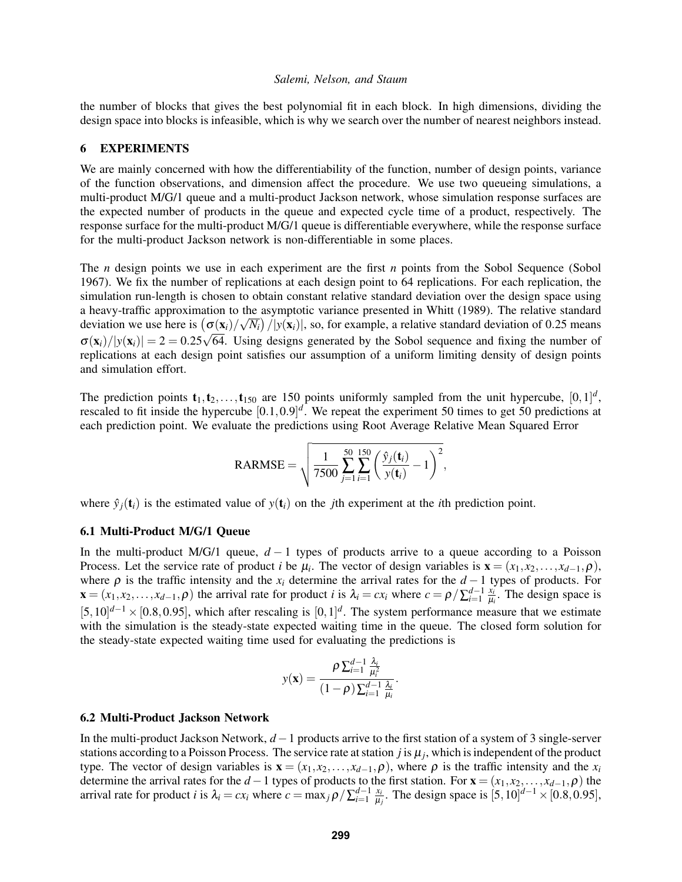the number of blocks that gives the best polynomial fit in each block. In high dimensions, dividing the design space into blocks is infeasible, which is why we search over the number of nearest neighbors instead.

#### 6 EXPERIMENTS

We are mainly concerned with how the differentiability of the function, number of design points, variance of the function observations, and dimension affect the procedure. We use two queueing simulations, a multi-product M/G/1 queue and a multi-product Jackson network, whose simulation response surfaces are the expected number of products in the queue and expected cycle time of a product, respectively. The response surface for the multi-product M/G/1 queue is differentiable everywhere, while the response surface for the multi-product Jackson network is non-differentiable in some places.

The *n* design points we use in each experiment are the first *n* points from the Sobol Sequence (Sobol 1967). We fix the number of replications at each design point to 64 replications. For each replication, the simulation run-length is chosen to obtain constant relative standard deviation over the design space using a heavy-traffic approximation to the asymptotic variance presented in Whitt (1989). The relative standard deviation we use here is  $(\sigma(\mathbf{x}_i)/\sqrt{N_i})/|y(\mathbf{x}_i)|$ , so, for example, a relative standard deviation of 0.25 means  $\sigma(\mathbf{x}_i)/|y(\mathbf{x}_i)| = 2 = 0.25\sqrt{64}$ . Using designs generated by the Sobol sequence and fixing the number of replications at each design point satisfies our assumption of a uniform limiting density of design points and simulation effort.

The prediction points  $t_1, t_2,..., t_{150}$  are 150 points uniformly sampled from the unit hypercube,  $[0,1]^d$ , rescaled to fit inside the hypercube  $[0.1, 0.9]^d$ . We repeat the experiment 50 times to get 50 predictions at each prediction point. We evaluate the predictions using Root Average Relative Mean Squared Error

$$
RARMSE = \sqrt{\frac{1}{7500} \sum_{j=1}^{50} \sum_{i=1}^{150} \left( \frac{\hat{y}_j(\mathbf{t}_i)}{y(\mathbf{t}_i)} - 1 \right)^2},
$$

where  $\hat{y}_i(t_i)$  is the estimated value of  $y(t_i)$  on the *j*th experiment at the *i*th prediction point.

# 6.1 Multi-Product M/G/1 Queue

In the multi-product M/G/1 queue, *d* − 1 types of products arrive to a queue according to a Poisson Process. Let the service rate of product *i* be  $\mu_i$ . The vector of design variables is  $\mathbf{x} = (x_1, x_2, \dots, x_{d-1}, \rho)$ , where  $\rho$  is the traffic intensity and the  $x_i$  determine the arrival rates for the  $d-1$  types of products. For  $\mathbf{x} = (x_1, x_2, \dots, x_{d-1}, \rho)$  the arrival rate for product *i* is  $\lambda_i = cx_i$  where  $c = \rho / \sum_{i=1}^{d-1} \frac{x_i}{\mu_i}$  $\frac{x_i}{\mu_i}$ . The design space is [5,10]<sup>d-1</sup> × [0.8,0.95], which after rescaling is [0,1]<sup>d</sup>. The system performance measure that we estimate with the simulation is the steady-state expected waiting time in the queue. The closed form solution for the steady-state expected waiting time used for evaluating the predictions is

$$
y(\mathbf{x}) = \frac{\rho \sum_{i=1}^{d-1} \frac{\lambda_i}{\mu_i^2}}{(1-\rho) \sum_{i=1}^{d-1} \frac{\lambda_i}{\mu_i}}.
$$

#### 6.2 Multi-Product Jackson Network

In the multi-product Jackson Network, *d* −1 products arrive to the first station of a system of 3 single-server stations according to a Poisson Process. The service rate at station  $j$  is  $\mu_j$ , which is independent of the product type. The vector of design variables is  $\mathbf{x} = (x_1, x_2, \dots, x_{d-1}, \rho)$ , where  $\rho$  is the traffic intensity and the  $x_i$ determine the arrival rates for the  $d-1$  types of products to the first station. For  $\mathbf{x} = (x_1, x_2, \dots, x_{d-1}, \rho)$  the arrival rate for product *i* is  $\lambda_i = cx_i$  where  $c = \max_j \rho / \sum_{i=1}^{d-1} \frac{x_i}{\mu}$  $\frac{x_i}{\mu_j}$ . The design space is  $[5, 10]^{d-1} \times [0.8, 0.95]$ ,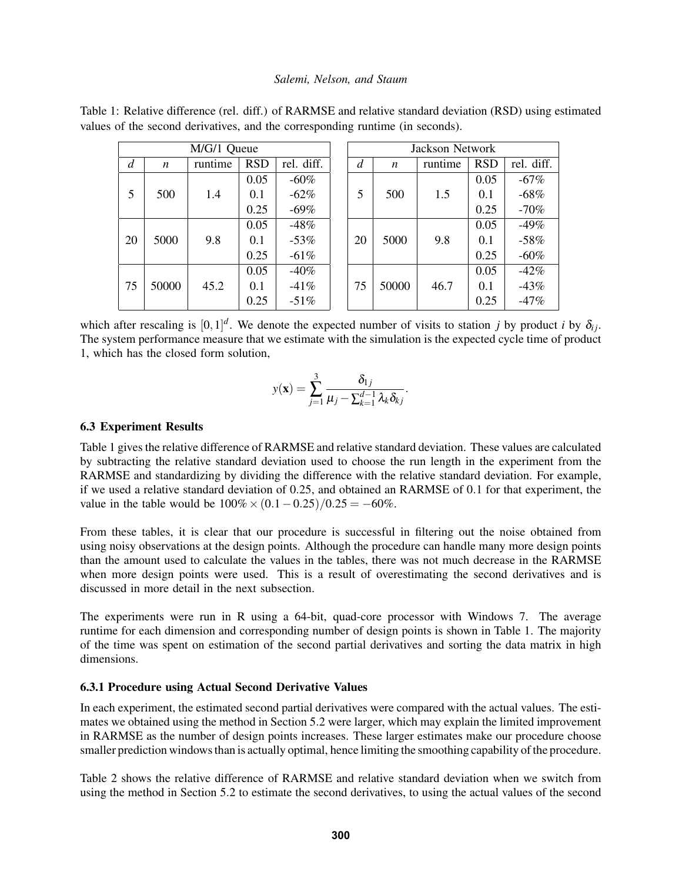| M/G/1 Queue |                  |         |            |            | Jackson Network |       |         |            |            |
|-------------|------------------|---------|------------|------------|-----------------|-------|---------|------------|------------|
| d           | $\boldsymbol{n}$ | runtime | <b>RSD</b> | rel. diff. | d               | n     | runtime | <b>RSD</b> | rel. diff. |
|             |                  |         | 0.05       | $-60\%$    |                 |       |         | 0.05       | $-67%$     |
| 5           | 500              | 1.4     | 0.1        | $-62\%$    | 5               | 500   | 1.5     | 0.1        | $-68%$     |
|             |                  |         | 0.25       | $-69\%$    |                 |       |         | 0.25       | $-70%$     |
|             |                  |         | 0.05       | $-48%$     |                 |       |         | 0.05       | $-49%$     |
| 20          | 5000             | 9.8     | 0.1        | $-53%$     | 20              | 5000  | 9.8     | 0.1        | $-58%$     |
|             |                  |         | 0.25       | $-61%$     |                 |       |         | 0.25       | $-60%$     |
|             |                  |         | 0.05       | $-40%$     |                 |       |         | 0.05       | $-42%$     |
| 75          | 50000            | 45.2    | 0.1        | $-41%$     | 75              | 50000 | 46.7    | 0.1        | $-43%$     |
|             |                  |         | 0.25       | $-51\%$    |                 |       |         | 0.25       | $-47%$     |

Table 1: Relative difference (rel. diff.) of RARMSE and relative standard deviation (RSD) using estimated values of the second derivatives, and the corresponding runtime (in seconds).

which after rescaling is  $[0,1]^d$ . We denote the expected number of visits to station *j* by product *i* by  $\delta_{ij}$ . The system performance measure that we estimate with the simulation is the expected cycle time of product 1, which has the closed form solution,

$$
y(\mathbf{x}) = \sum_{j=1}^{3} \frac{\delta_{1j}}{\mu_j - \sum_{k=1}^{d-1} \lambda_k \delta_k}.
$$

#### 6.3 Experiment Results

Table 1 gives the relative difference of RARMSE and relative standard deviation. These values are calculated by subtracting the relative standard deviation used to choose the run length in the experiment from the RARMSE and standardizing by dividing the difference with the relative standard deviation. For example, if we used a relative standard deviation of 0.25, and obtained an RARMSE of 0.1 for that experiment, the value in the table would be  $100\% \times (0.1 - 0.25)/0.25 = -60\%$ .

From these tables, it is clear that our procedure is successful in filtering out the noise obtained from using noisy observations at the design points. Although the procedure can handle many more design points than the amount used to calculate the values in the tables, there was not much decrease in the RARMSE when more design points were used. This is a result of overestimating the second derivatives and is discussed in more detail in the next subsection.

The experiments were run in R using a 64-bit, quad-core processor with Windows 7. The average runtime for each dimension and corresponding number of design points is shown in Table 1. The majority of the time was spent on estimation of the second partial derivatives and sorting the data matrix in high dimensions.

# 6.3.1 Procedure using Actual Second Derivative Values

In each experiment, the estimated second partial derivatives were compared with the actual values. The estimates we obtained using the method in Section 5.2 were larger, which may explain the limited improvement in RARMSE as the number of design points increases. These larger estimates make our procedure choose smaller prediction windows than is actually optimal, hence limiting the smoothing capability of the procedure.

Table 2 shows the relative difference of RARMSE and relative standard deviation when we switch from using the method in Section 5.2 to estimate the second derivatives, to using the actual values of the second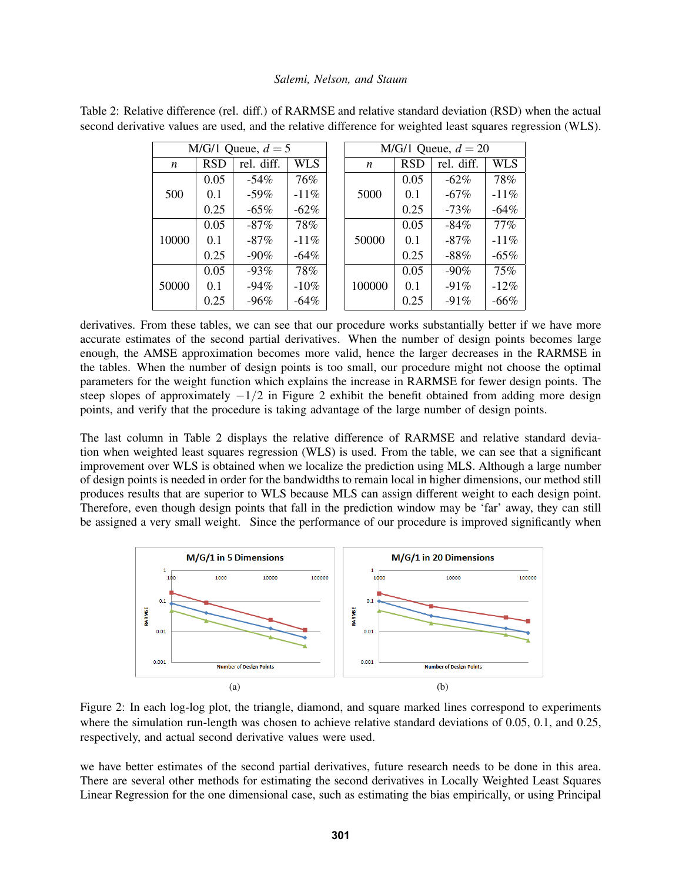| M/G/1 Queue, $d = 5$ |            |            |            |       | M/G/1 Queue, $d = 20$ |            |            |            |
|----------------------|------------|------------|------------|-------|-----------------------|------------|------------|------------|
| $\boldsymbol{n}$     | <b>RSD</b> | rel. diff. | <b>WLS</b> |       | $\boldsymbol{n}$      | <b>RSD</b> | rel. diff. | <b>WLS</b> |
|                      | 0.05       | $-54\%$    | 76%        |       |                       | 0.05       | $-62\%$    | 78%        |
| 500                  | 0.1        | $-59\%$    | $-11\%$    |       | 5000                  | 0.1        | $-67\%$    | $-11%$     |
|                      | 0.25       | $-65%$     | $-62\%$    |       |                       | 0.25       | $-73%$     | $-64\%$    |
|                      | 0.05       | $-87\%$    | 78%        |       |                       | 0.05       | $-84%$     | $77\%$     |
| 10000                | 0.1        | $-87\%$    | $-11\%$    | 50000 |                       | 0.1        | $-87\%$    | $-11%$     |
|                      | 0.25       | $-90\%$    | $-64\%$    |       |                       | 0.25       | $-88%$     | $-65%$     |
|                      | 0.05       | $-93%$     | 78%        |       |                       | 0.05       | $-90\%$    | 75%        |
| 50000                | 0.1        | $-94%$     | $-10\%$    |       | 100000                | 0.1        | $-91%$     | $-12\%$    |
|                      | 0.25       | $-96%$     | $-64\%$    |       |                       | 0.25       | $-91%$     | $-66%$     |

Table 2: Relative difference (rel. diff.) of RARMSE and relative standard deviation (RSD) when the actual second derivative values are used, and the relative difference for weighted least squares regression (WLS).

derivatives. From these tables, we can see that our procedure works substantially better if we have more accurate estimates of the second partial derivatives. When the number of design points becomes large enough, the AMSE approximation becomes more valid, hence the larger decreases in the RARMSE in the tables. When the number of design points is too small, our procedure might not choose the optimal parameters for the weight function which explains the increase in RARMSE for fewer design points. The steep slopes of approximately  $-1/2$  in Figure 2 exhibit the benefit obtained from adding more design points, and verify that the procedure is taking advantage of the large number of design points.

The last column in Table 2 displays the relative difference of RARMSE and relative standard deviation when weighted least squares regression (WLS) is used. From the table, we can see that a significant improvement over WLS is obtained when we localize the prediction using MLS. Although a large number of design points is needed in order for the bandwidths to remain local in higher dimensions, our method still produces results that are superior to WLS because MLS can assign different weight to each design point. Therefore, even though design points that fall in the prediction window may be 'far' away, they can still be assigned a very small weight. Since the performance of our procedure is improved significantly when



Figure 2: In each log-log plot, the triangle, diamond, and square marked lines correspond to experiments where the simulation run-length was chosen to achieve relative standard deviations of 0.05, 0.1, and 0.25, respectively, and actual second derivative values were used.

we have better estimates of the second partial derivatives, future research needs to be done in this area. There are several other methods for estimating the second derivatives in Locally Weighted Least Squares Linear Regression for the one dimensional case, such as estimating the bias empirically, or using Principal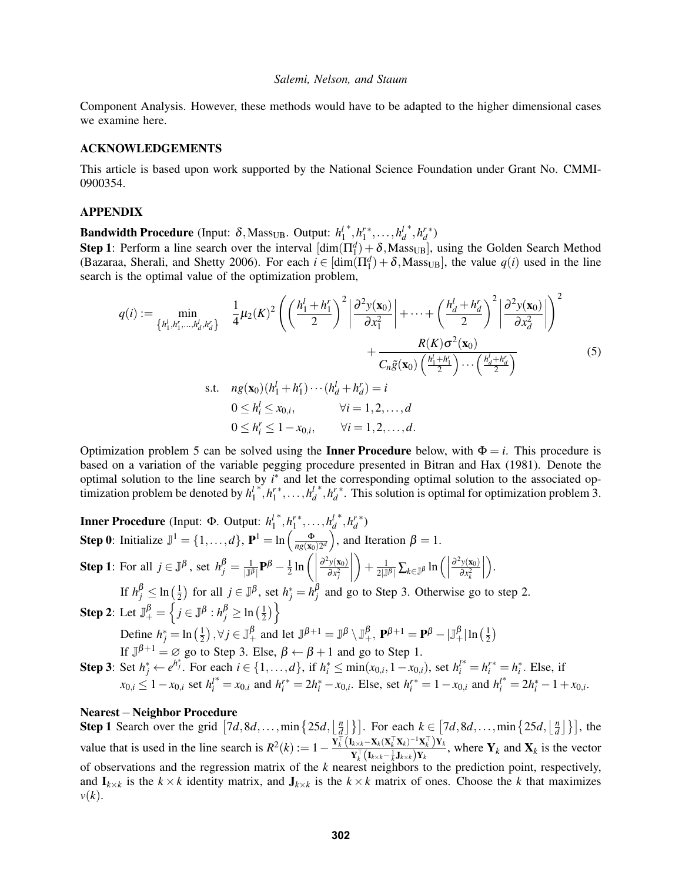Component Analysis. However, these methods would have to be adapted to the higher dimensional cases we examine here.

#### ACKNOWLEDGEMENTS

This article is based upon work supported by the National Science Foundation under Grant No. CMMI-0900354.

#### APPENDIX

**Bandwidth Procedure** (Input:  $\delta$ , Mass<sub>UB</sub>. Output:  $h_1^l$ \*, $h_1^{r*}, \ldots, h_d^{l}$ \*, $h_d^{r*}$ )

**Step 1**: Perform a line search over the interval  $[\dim(\Pi_1^d) + \delta, Mass_{UB}]$ , using the Golden Search Method (Bazaraa, Sherali, and Shetty 2006). For each  $i \in [\dim(\Pi_1^d) + \delta, \text{Mass}_{UB}]$ , the value  $q(i)$  used in the line search is the optimal value of the optimization problem,

$$
q(i) := \min_{\{h_1^l, h_1^r, \dots, h_d^l, h_d^r\}} \frac{1}{4} \mu_2(K)^2 \left( \left( \frac{h_1^l + h_1^r}{2} \right)^2 \left| \frac{\partial^2 y(\mathbf{x}_0)}{\partial x_1^2} \right| + \dots + \left( \frac{h_d^l + h_d^r}{2} \right)^2 \left| \frac{\partial^2 y(\mathbf{x}_0)}{\partial x_d^2} \right| \right)^2 + \frac{R(K) \sigma^2(\mathbf{x}_0)}{C_n \tilde{g}(\mathbf{x}_0) \left( \frac{h_1^l + h_1^r}{2} \right) \dots \left( \frac{h_d^l + h_d^r}{2} \right)} + \frac{R(K) \sigma^2(\mathbf{x}_0)}{C_n \tilde{g}(\mathbf{x}_0) \left( \frac{h_1^l + h_1^r}{2} \right) \dots \left( \frac{h_d^l + h_d^r}{2} \right)}
$$
\n
$$
\text{s.t.} \quad ng(\mathbf{x}_0)(h_1^l + h_1^r) \dots (h_d^l + h_d^r) = i
$$
\n
$$
0 \le h_i^l \le x_{0,i}, \qquad \forall i = 1, 2, \dots, d
$$
\n
$$
0 \le h_i^r \le 1 - x_{0,i}, \qquad \forall i = 1, 2, \dots, d.
$$
\n(5)

Optimization problem 5 can be solved using the **Inner Procedure** below, with  $\Phi = i$ . This procedure is based on a variation of the variable pegging procedure presented in Bitran and Hax (1981). Denote the optimal solution to the line search by  $i^*$  and let the corresponding optimal solution to the associated optimization problem be denoted by *h l* 1 \*, $h_1^{r*}, \ldots, h_d^{l}$  $*$ ,  $h_d^*$ . This solution is optimal for optimization problem 3.

Inner Procedure (Input: Φ. Output: *h l* 1 \*, $h_1^{r*}, \ldots, h_d^{l}$ \*, $h_d^{r*}$ ) **Step 0:** Initialize  $\mathbb{J}^1 = \{1, ..., d\}$ ,  $\mathbf{P}^1 = \ln\left(\frac{\Phi}{ng(\mathbf{x}_0)2^d}\right)$ , and Iteration  $\beta = 1$ . **Step 1**: For all  $j \in \mathbb{J}^{\beta}$ , set  $h_j^{\beta} = \frac{1}{|\mathbb{J}^{\beta}|} \mathbf{P}^{\beta} - \frac{1}{2}$  $rac{1}{2}$  ln  $\left(\left|\frac{\partial^2 y(\mathbf{x}_0)}{\partial x_i^2}\right|\right)$  $\begin{bmatrix} 0 & x_j \end{bmatrix}$  $\partial x_j^2$  $\overline{\phantom{a}}$  $\bigg) + \frac{1}{2|\mathbb{J}^{\beta}|} \sum_{k \in \mathbb{J}^{\beta}} \ln \Big( \Big|$  $\partial^2 y(\mathbf{x}_0)$  $\partial x_k^2$  $\begin{array}{c} \begin{array}{c} \begin{array}{c} \end{array} \\ \begin{array}{c} \end{array} \end{array} \end{array}$  . If  $h_j^{\beta} \leq \ln\left(\frac{1}{2}\right)$  $\frac{1}{2}$ ) for all  $j \in \mathbb{J}^{\beta}$ , set  $h_j^* = h_j^{\beta}$  and go to Step 3. Otherwise go to step 2. **Step 2**: Let  $\mathbb{J}^{\beta}_{+} = \left\{ j \in \mathbb{J}^{\beta} : h^{\beta}_{j} \geq \ln \left( \frac{1}{2} \right) \right\}$  $\frac{1}{2}$ ) } Define  $h_j^* = \ln\left(\frac{1}{2}\right), \forall j \in \mathbb{J}^{\beta}_+$  and let  $\mathbb{J}^{\beta+1} = \mathbb{J}^{\beta} \setminus \mathbb{J}^{\beta}_+$ ,  $\mathbf{P}^{\beta+1} = \mathbf{P}^{\beta} - |\mathbb{J}^{\beta}_+| \ln\left(\frac{1}{2}\right)$  $2^{\int \ln(\ln \frac{\theta}{2})} = \ln(2)$ ,  $\sqrt{2} = \sqrt{2} + \ln(\ln \frac{\theta}{2})$ <br>If  $\sqrt{2} + 1 = \sqrt{2}$  go to Step 3. Else,  $\beta \leftarrow \beta + 1$  and go to Step 1. **Step 3:** Set  $h_j^* \leftarrow e^{h_j^*}$ . For each  $i \in \{1, ..., d\}$ , if  $h_i^* \le \min(x_{0,i}, 1 - x_{0,i})$ , set  $h_i^{l^*} = h_i^{r^*} = h_i^*$ . Else, if  $x_{0,i} \le 1 - x_{0,i}$  set  $h_i^{l^*} = x_{0,i}$  and  $h_i^{r^*} = 2h_i^* - x_{0,i}$ . Else, set  $h_i^{r^*} = 1 - x_{0,i}$  and  $h_i^{l^*} = 2h_i^* - 1 + x_{0,i}$ .

#### Nearest−Neighbor Procedure

**Step 1** Search over the grid  $\left[7d, 8d, \ldots, \min\left\{25d, \frac{n}{d}\right\}\right]$  $\left[\frac{n}{d}\right]$ } For each  $k \in [7d, 8d, \ldots, \min\{25d, \lfloor \frac{n}{d} \rfloor\}]$  $\frac{n}{d}$  $\]$  $\}$ , the value that is used in the line search is  $R^2(k) := 1 - \frac{Y_k^{\top} (I_{k \times k} - X_k (X_k^{\top} X_k)^{-1} X_k^{\top}) Y_k}{Y^{\top} (I_{k \times k} - X_k (X_k^{\top} X_k)^{-1} X_k^{\top}) Y_k}$  $\mathbf{Y}_{k}^{\top}(\mathbf{I}_{k\times k}-\frac{1}{k}\mathbf{J}_{k\times k})\mathbf{Y}_{k}$ , where  $\mathbf{Y}_{k}$  and  $\mathbf{X}_{k}$  is the vector of observations and the regression matrix of the *k* nearest neighbors to the prediction point, respectively, and  $I_{k \times k}$  is the  $k \times k$  identity matrix, and  $J_{k \times k}$  is the  $k \times k$  matrix of ones. Choose the *k* that maximizes  $\nu(k)$ .